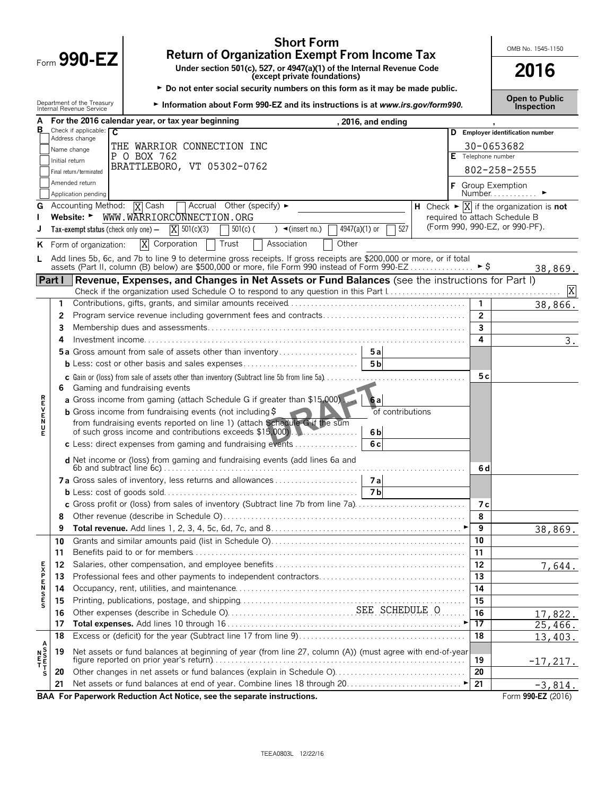|                 |                |                                                        | <b>Short Form</b><br><b>Return of Organization Exempt From Income Tax</b>                                                                                                                                           |  |                | OMB No. 1545-1150                                                            |
|-----------------|----------------|--------------------------------------------------------|---------------------------------------------------------------------------------------------------------------------------------------------------------------------------------------------------------------------|--|----------------|------------------------------------------------------------------------------|
|                 | Form 990-EZ    | 2016                                                   |                                                                                                                                                                                                                     |  |                |                                                                              |
|                 |                |                                                        | (except private foundations)<br>► Do not enter social security numbers on this form as it may be made public.                                                                                                       |  |                |                                                                              |
|                 |                | Department of the Treasury<br>Internal Revenue Service | Information about Form 990-EZ and its instructions is at www.irs.gov/form990.                                                                                                                                       |  |                | <b>Open to Public</b><br><b>Inspection</b>                                   |
| в               |                |                                                        | For the 2016 calendar year, or tax year beginning<br>, 2016, and ending                                                                                                                                             |  |                |                                                                              |
|                 |                | Check if applicable: $\overline{C}$<br>Address change  |                                                                                                                                                                                                                     |  |                | D Employer identification number                                             |
|                 |                | Name change                                            | THE WARRIOR CONNECTION INC<br>P O BOX 762                                                                                                                                                                           |  |                | 30-0653682<br>Telephone number                                               |
|                 | Initial return |                                                        | BRATTLEBORO, VT 05302-0762                                                                                                                                                                                          |  |                |                                                                              |
|                 |                | Final return/terminated<br>Amended return              |                                                                                                                                                                                                                     |  |                | 802-258-2555                                                                 |
|                 |                | Application pending                                    |                                                                                                                                                                                                                     |  |                | Group Exemption<br>Number                                                    |
| G               |                | Accounting Method:                                     | Accrual Other (specify) ►<br><b>X</b> Cash                                                                                                                                                                          |  |                | H Check $\blacktriangleright \overline{X}$ if the organization is <b>not</b> |
|                 |                |                                                        | Website: WWW.WARRIORCONNECTION.ORG                                                                                                                                                                                  |  |                | required to attach Schedule B<br>(Form 990, 990-EZ, or 990-PF).              |
|                 |                | Tax-exempt status (check only one) -                   | 527<br>$X = 501(c)(3)$<br>$4947(a)(1)$ or<br>$501(c)$ (<br>$\rightarrow$ (insert no.)                                                                                                                               |  |                |                                                                              |
| ĸ               |                | Form of organization:                                  | $\overline{\text{X}}$<br>Corporation<br>Trust<br>Association<br>Other                                                                                                                                               |  |                |                                                                              |
| L.              |                |                                                        | Add lines 5b, 6c, and 7b to line 9 to determine gross receipts. If gross receipts are \$200,000 or more, or if total assets (Part II, column (B) below) are \$500,000 or more, file Form 990 instead of Form 990-EZ |  | ► \$           |                                                                              |
|                 | Part I         |                                                        | Revenue, Expenses, and Changes in Net Assets or Fund Balances (see the instructions for Part I)                                                                                                                     |  |                | 38,869.                                                                      |
|                 |                |                                                        |                                                                                                                                                                                                                     |  |                | X                                                                            |
|                 | 1.             |                                                        |                                                                                                                                                                                                                     |  | $\mathbf{1}$   | 38,866.                                                                      |
|                 | 2              |                                                        |                                                                                                                                                                                                                     |  | $\overline{2}$ |                                                                              |
|                 | 3              |                                                        |                                                                                                                                                                                                                     |  | $\overline{3}$ |                                                                              |
|                 | 4              |                                                        |                                                                                                                                                                                                                     |  | 4              | 3.                                                                           |
|                 |                |                                                        | <b>5a</b> Gross amount from sale of assets other than inventory<br>5a                                                                                                                                               |  |                |                                                                              |
|                 |                |                                                        | $5\overline{b}$                                                                                                                                                                                                     |  |                |                                                                              |
|                 | 6.             |                                                        | c Gain or (loss) from sale of assets other than inventory (Subtract line 5b from line 5a)<br>Gaming and fundraising events                                                                                          |  | 5 c            |                                                                              |
|                 |                |                                                        | a Gross income from gaming (attach Schedule G if greater than \$15,000).<br>6 a                                                                                                                                     |  |                |                                                                              |
| <b>REVENU</b>   |                |                                                        | of contributions<br><b>b</b> Gross income from fundraising events (not including $\frac{1}{2}$ )                                                                                                                    |  |                |                                                                              |
|                 |                |                                                        | from fundraising events reported on line 1) (attach Schedule G if the sum<br>of such gross income and contributions exceeds \$15,000).<br>6 <sub>b</sub>                                                            |  |                |                                                                              |
|                 |                |                                                        | 6 <sub>c</sub><br>c Less: direct expenses from gaming and fundraising events $\dots\dots\dots\dots$                                                                                                                 |  |                |                                                                              |
|                 |                |                                                        | d Net income or (loss) from gaming and fundraising events (add lines 6a and                                                                                                                                         |  |                |                                                                              |
|                 |                |                                                        | 7a<br>7a Gross sales of inventory, less returns and allowances                                                                                                                                                      |  | 6 d            |                                                                              |
|                 |                |                                                        | 7 <sub>b</sub>                                                                                                                                                                                                      |  |                |                                                                              |
|                 |                |                                                        | c Gross profit or (loss) from sales of inventory (Subtract line 7b from line 7a)                                                                                                                                    |  | 7 с            |                                                                              |
|                 | 8              |                                                        |                                                                                                                                                                                                                     |  | 8              |                                                                              |
|                 | 9              |                                                        |                                                                                                                                                                                                                     |  | 9              | 38,869.                                                                      |
|                 | 10             |                                                        |                                                                                                                                                                                                                     |  | 10             |                                                                              |
|                 | 11             |                                                        |                                                                                                                                                                                                                     |  | 11             |                                                                              |
|                 | 12             |                                                        |                                                                                                                                                                                                                     |  | 12             | 7,644.                                                                       |
|                 | 13<br>14       |                                                        |                                                                                                                                                                                                                     |  | 13<br>14       |                                                                              |
| <b>EXPENSES</b> | 15             |                                                        |                                                                                                                                                                                                                     |  | 15             |                                                                              |
|                 | 16             |                                                        |                                                                                                                                                                                                                     |  | 16             | 17,822.                                                                      |
|                 | 17             |                                                        |                                                                                                                                                                                                                     |  | 17             | 25,466.                                                                      |
|                 | 18             |                                                        |                                                                                                                                                                                                                     |  | 18             | 13,403.                                                                      |
|                 | 19             |                                                        | Net assets or fund balances at beginning of year (from line 27, column (A)) (must agree with end-of-year                                                                                                            |  |                |                                                                              |
|                 |                |                                                        |                                                                                                                                                                                                                     |  | 19             | $-17,217.$                                                                   |
| s               | 20             |                                                        |                                                                                                                                                                                                                     |  | 20             |                                                                              |
|                 | 21             |                                                        |                                                                                                                                                                                                                     |  | 21             | $-3,814.$                                                                    |
|                 |                |                                                        | BAA For Paperwork Reduction Act Notice, see the separate instructions.                                                                                                                                              |  |                | Form 990-EZ (2016)                                                           |

TEEA0803L 12/22/16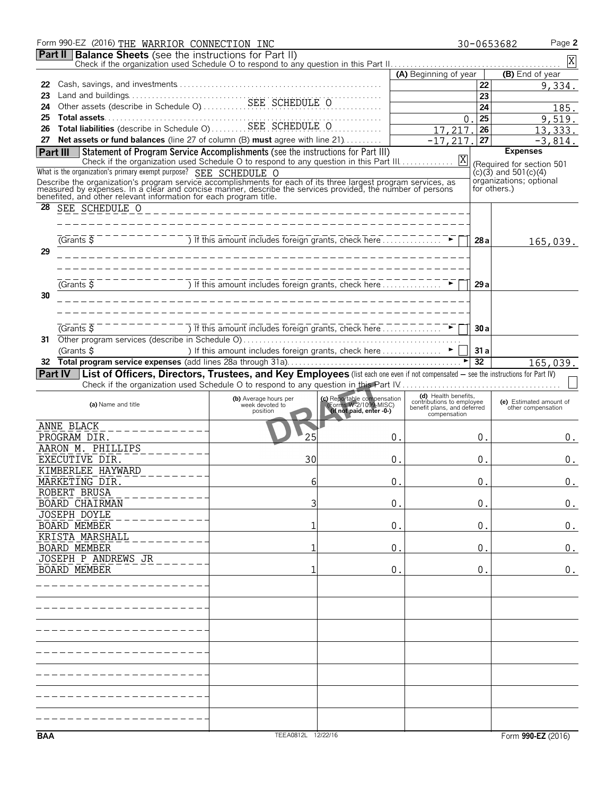|     | Form 990-EZ (2016) THE WARRIOR CONNECTION INC                                                                                                                                                                                        |                                                               |                                                                                  |                                                                                  | Page 2<br>30-0653682                                   |
|-----|--------------------------------------------------------------------------------------------------------------------------------------------------------------------------------------------------------------------------------------|---------------------------------------------------------------|----------------------------------------------------------------------------------|----------------------------------------------------------------------------------|--------------------------------------------------------|
|     | <b>Part II Balance Sheets</b> (see the instructions for Part II)                                                                                                                                                                     |                                                               |                                                                                  |                                                                                  | $\mathbf X$                                            |
|     |                                                                                                                                                                                                                                      |                                                               |                                                                                  | (A) Beginning of year                                                            | (B) End of year                                        |
| 22  |                                                                                                                                                                                                                                      |                                                               |                                                                                  | 22                                                                               | 9,334.                                                 |
| 23  |                                                                                                                                                                                                                                      |                                                               |                                                                                  | 23                                                                               |                                                        |
| 24  |                                                                                                                                                                                                                                      |                                                               |                                                                                  | 24                                                                               | 185.                                                   |
| 25  |                                                                                                                                                                                                                                      |                                                               |                                                                                  | 25<br>$\overline{0}$                                                             | 9,519.                                                 |
| 26  | Total liabilities (describe in Schedule O) SEE SCHEDULE O                                                                                                                                                                            |                                                               |                                                                                  | 26<br>17,217.                                                                    | 13,333.                                                |
| 27  | <b>Net assets or fund balances</b> (line 27 of column (B) must agree with line 21)                                                                                                                                                   |                                                               |                                                                                  | $-17, 217.$<br>27                                                                | $-3,814.$                                              |
|     | Statement of Program Service Accomplishments (see the instructions for Part III)<br>Part III<br>Check if the organization used Schedule O to respond to any question in this Part III.                                               |                                                               |                                                                                  | X                                                                                | <b>Expenses</b>                                        |
|     | What is the organization's primary exempt purpose? SEE SCHEDULE O                                                                                                                                                                    |                                                               |                                                                                  |                                                                                  | (Required for section 501<br>$(c)(3)$ and 501 $(c)(4)$ |
|     |                                                                                                                                                                                                                                      |                                                               |                                                                                  |                                                                                  | organizations; optional                                |
|     | Describe the organization's program service accomplishments for each of its three largest program services, as<br>measured by expenses. In a clear and concise manner, describe the services provided, the number of persons<br>bene |                                                               |                                                                                  |                                                                                  | for others.)                                           |
| 28  | SEE SCHEDULE O                                                                                                                                                                                                                       | ___________________________________                           |                                                                                  |                                                                                  |                                                        |
|     |                                                                                                                                                                                                                                      |                                                               |                                                                                  |                                                                                  |                                                        |
|     |                                                                                                                                                                                                                                      |                                                               |                                                                                  |                                                                                  |                                                        |
|     | (Grants <sub>5</sub> )                                                                                                                                                                                                               | ) If this amount includes foreign grants, check here $\ldots$ |                                                                                  | 28 a                                                                             | 165,039.                                               |
| 29  |                                                                                                                                                                                                                                      |                                                               |                                                                                  |                                                                                  |                                                        |
|     |                                                                                                                                                                                                                                      |                                                               |                                                                                  |                                                                                  |                                                        |
|     | (Grants <sub>5</sub> )                                                                                                                                                                                                               |                                                               |                                                                                  |                                                                                  |                                                        |
| 30  |                                                                                                                                                                                                                                      |                                                               |                                                                                  | 29 a                                                                             |                                                        |
|     |                                                                                                                                                                                                                                      |                                                               |                                                                                  |                                                                                  |                                                        |
|     |                                                                                                                                                                                                                                      |                                                               |                                                                                  |                                                                                  |                                                        |
|     | $\overline{G}$ Cants $\overline{S}$                                                                                                                                                                                                  | The This amount includes foreign grants, check here           |                                                                                  | 30a                                                                              |                                                        |
| 31. |                                                                                                                                                                                                                                      |                                                               |                                                                                  |                                                                                  |                                                        |
|     | (Grants \$                                                                                                                                                                                                                           | ) If this amount includes foreign grants, check here ►        |                                                                                  | 31a                                                                              |                                                        |
|     |                                                                                                                                                                                                                                      |                                                               |                                                                                  | 32                                                                               | 165,039.                                               |
|     | Part IV List of Officers, Directors, Trustees, and Key Employees (list each one even if not compensated - see the instructions for Part IV)                                                                                          |                                                               |                                                                                  |                                                                                  |                                                        |
|     |                                                                                                                                                                                                                                      |                                                               |                                                                                  |                                                                                  |                                                        |
|     | (a) Name and title                                                                                                                                                                                                                   | (b) Average hours per<br>week devoted to<br>position          | (c) Reportable compensation<br>(Forms W-2/1099-MISC)<br>(if not paid, enter -0-) | (d) Health benefits,<br>contributions to employee<br>benefit plans, and deferred | (e) Estimated amount of<br>other compensation          |
|     |                                                                                                                                                                                                                                      |                                                               |                                                                                  | compensation                                                                     |                                                        |
|     | ANNE BLACK<br>PROGRAM DIR.                                                                                                                                                                                                           | 25                                                            | $0$ .                                                                            | 0.                                                                               |                                                        |
|     | AARON M. PHILLIPS                                                                                                                                                                                                                    |                                                               |                                                                                  |                                                                                  | $0$ .                                                  |
|     | EXECUTIVE DIR.                                                                                                                                                                                                                       | 30                                                            | 0                                                                                | 0.                                                                               | 0.                                                     |
|     | KIMBERLEE HAYWARD                                                                                                                                                                                                                    |                                                               |                                                                                  |                                                                                  |                                                        |
|     | MARKETING DIR.                                                                                                                                                                                                                       |                                                               | $\boldsymbol{0}$ .                                                               | 0.                                                                               | 0.                                                     |
|     | ROBERT BRUSA                                                                                                                                                                                                                         |                                                               |                                                                                  |                                                                                  |                                                        |
|     | <b>BOARD CHAIRMAN</b>                                                                                                                                                                                                                | 3                                                             | 0.                                                                               | 0.                                                                               | 0.                                                     |
|     | <b>JOSEPH DOYLE</b>                                                                                                                                                                                                                  | 1                                                             |                                                                                  |                                                                                  |                                                        |
|     | BOARD MEMBER<br>KRISTA MARSHALL                                                                                                                                                                                                      |                                                               | $0$ .                                                                            | 0.                                                                               | 0.                                                     |
|     | <b>BOARD MEMBER</b>                                                                                                                                                                                                                  | 1                                                             | $0$ .                                                                            | 0.                                                                               | 0.                                                     |
|     | JOSEPH P ANDREWS JR                                                                                                                                                                                                                  |                                                               |                                                                                  |                                                                                  |                                                        |
|     | <b>BOARD MEMBER</b>                                                                                                                                                                                                                  |                                                               | 0.                                                                               | 0.                                                                               | 0.                                                     |
|     |                                                                                                                                                                                                                                      |                                                               |                                                                                  |                                                                                  |                                                        |
|     |                                                                                                                                                                                                                                      |                                                               |                                                                                  |                                                                                  |                                                        |
|     |                                                                                                                                                                                                                                      |                                                               |                                                                                  |                                                                                  |                                                        |
|     |                                                                                                                                                                                                                                      |                                                               |                                                                                  |                                                                                  |                                                        |
|     |                                                                                                                                                                                                                                      |                                                               |                                                                                  |                                                                                  |                                                        |
|     |                                                                                                                                                                                                                                      |                                                               |                                                                                  |                                                                                  |                                                        |
|     |                                                                                                                                                                                                                                      |                                                               |                                                                                  |                                                                                  |                                                        |
|     |                                                                                                                                                                                                                                      |                                                               |                                                                                  |                                                                                  |                                                        |
|     |                                                                                                                                                                                                                                      |                                                               |                                                                                  |                                                                                  |                                                        |
|     |                                                                                                                                                                                                                                      |                                                               |                                                                                  |                                                                                  |                                                        |
|     |                                                                                                                                                                                                                                      |                                                               |                                                                                  |                                                                                  |                                                        |
|     |                                                                                                                                                                                                                                      |                                                               |                                                                                  |                                                                                  |                                                        |
| BAA |                                                                                                                                                                                                                                      | TEEA0812L 12/22/16                                            |                                                                                  |                                                                                  | Form 990-EZ (2016)                                     |
|     |                                                                                                                                                                                                                                      |                                                               |                                                                                  |                                                                                  |                                                        |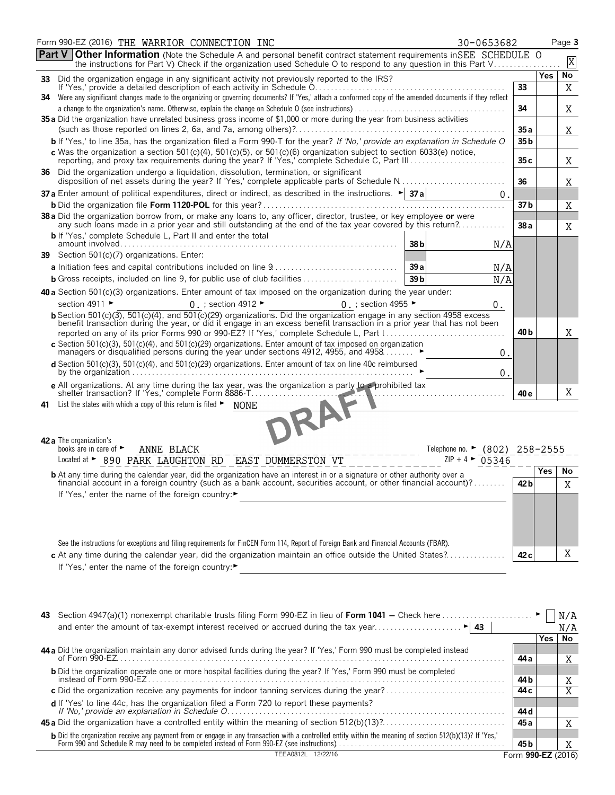|    | Form 990-EZ (2016) THE WARRIOR CONNECTION INC<br>30-0653682                                                                                                                                                                                          |                 |        | Page 3  |
|----|------------------------------------------------------------------------------------------------------------------------------------------------------------------------------------------------------------------------------------------------------|-----------------|--------|---------|
|    | <b>Part V Other Information</b> (Note the Schedule A and personal benefit contract statement requirements in SEE SCHEDULE O<br>the instructions for Part V) Check if the organization used Schedule O to respond to any question in this Part V      |                 |        | X       |
|    | 33 Did the organization engage in any significant activity not previously reported to the IRS?                                                                                                                                                       |                 | Yes    | No      |
|    | If 'Yes,' provide a detailed description of each activity in Schedule O.<br>34 Were any significant changes made to the organizing or governing documents? If 'Yes,' attach a conformed copy of the amended documents if they reflect                | 33              |        | X       |
|    |                                                                                                                                                                                                                                                      | 34              |        | Χ       |
|    | 35 a Did the organization have unrelated business gross income of \$1,000 or more during the year from business activities                                                                                                                           | 35a             |        | Χ       |
|    | <b>b</b> If 'Yes,' to line 35a, has the organization filed a Form 990-T for the year? If 'No,' provide an explanation in Schedule O                                                                                                                  | 35 b            |        |         |
|    | c Was the organization a section $501(c)(4)$ , $501(c)(5)$ , or $501(c)(6)$ organization subject to section 6033(e) notice,<br>reporting, and proxy tax requirements during the year? If 'Yes,' complete Schedule C, Part III                        | 35c             |        | Χ       |
|    | 36 Did the organization undergo a liquidation, dissolution, termination, or significant                                                                                                                                                              | 36              |        | Χ       |
|    | 37 a Enter amount of political expenditures, direct or indirect, as described in the instructions. $\blacktriangleright$ 37 a<br>$0$ .                                                                                                               |                 |        |         |
|    |                                                                                                                                                                                                                                                      | 37 b            |        | Χ       |
|    | 38 a Did the organization borrow from, or make any loans to, any officer, director, trustee, or key employee or were<br>any such loans made in a prior year and still outstanding at the end of the tax year covered by this return?                 | 38 a            |        | X       |
|    | <b>b</b> If 'Yes,' complete Schedule L, Part II and enter the total<br>38 <sub>b</sub><br>N/A                                                                                                                                                        |                 |        |         |
|    | 39 Section 501(c)(7) organizations. Enter:                                                                                                                                                                                                           |                 |        |         |
|    | 39a<br>N/A                                                                                                                                                                                                                                           |                 |        |         |
|    | 39 <sub>b</sub><br><b>b</b> Gross receipts, included on line 9, for public use of club facilities<br>N/A                                                                                                                                             |                 |        |         |
|    | 40 a Section 501(c)(3) organizations. Enter amount of tax imposed on the organization during the year under:                                                                                                                                         |                 |        |         |
|    | section 4911 ►<br>$0$ .; section 4912<br>0 : section 4955 ►<br>0.                                                                                                                                                                                    |                 |        |         |
|    | b Section 501(c)(3), 501(c)(4), and 501(c)(29) organizations. Did the organization engage in any section 4958 excess<br>benefit transaction during the year, or did it engage in an excess benefit transaction in a prior year that has not been     | 40 <sub>b</sub> |        | Χ       |
|    | c Section 501(c)(3), 501(c)(4), and 501(c)(29) organizations. Enter amount of tax imposed on organization managers or disqualified persons during the year under sections 4912, 4955, and 4958<br>0.                                                 |                 |        |         |
|    | d Section 501(c)(3), 501(c)(4), and 501(c)(29) organizations. Enter amount of tax on line 40c reimbursed<br>0.                                                                                                                                       |                 |        |         |
|    | e All organizations. At any time during the tax year, was the organization a party to a prohibited tax                                                                                                                                               |                 |        |         |
|    | shelter transaction? If 'Yes,' complete Form 8886-T                                                                                                                                                                                                  | 40 e            |        | X       |
| 41 | List the states with which a copy of this return is filed $\blacktriangleright$<br><b>NONE</b>                                                                                                                                                       |                 |        |         |
|    | 42 a The organization's                                                                                                                                                                                                                              |                 |        |         |
|    | books are in care of ►<br>ANNE BLACK<br>Telephone no. $\triangleright$ (802) 258-2555                                                                                                                                                                |                 |        |         |
|    | Located at > 890 PARK LAUGHTON RD EAST DUMMERSTON VT<br>$ZIP + 4$<br>05346                                                                                                                                                                           |                 |        |         |
|    | <b>b</b> At any time during the calendar year, did the organization have an interest in or a signature or other authority over a<br>financial account in a foreign country (such as a bank account, securities account, or other financial account)? | 42 <sub>b</sub> | Yes    | No<br>Χ |
|    | If 'Yes,' enter the name of the foreign country:▶                                                                                                                                                                                                    |                 |        |         |
|    |                                                                                                                                                                                                                                                      |                 |        |         |
|    |                                                                                                                                                                                                                                                      |                 |        |         |
|    |                                                                                                                                                                                                                                                      |                 |        |         |
|    | See the instructions for exceptions and filing requirements for FinCEN Form 114, Report of Foreign Bank and Financial Accounts (FBAR).                                                                                                               |                 |        |         |
|    | c At any time during the calendar year, did the organization maintain an office outside the United States?                                                                                                                                           | 42 <sub>c</sub> |        | Χ       |
|    | If 'Yes,' enter the name of the foreign country:▶                                                                                                                                                                                                    |                 |        |         |
|    |                                                                                                                                                                                                                                                      |                 |        |         |
|    |                                                                                                                                                                                                                                                      |                 |        |         |
|    |                                                                                                                                                                                                                                                      |                 |        |         |
|    | 43 Section 4947(a)(1) nonexempt charitable trusts filing Form 990-EZ in lieu of Form 1041 – Check here                                                                                                                                               |                 |        | N/A     |
|    | $\blacktriangleright$ 43<br>and enter the amount of tax-exempt interest received or accrued during the tax year                                                                                                                                      |                 | Yes No | N/A     |
|    |                                                                                                                                                                                                                                                      |                 |        |         |

| 44 a Did the organization maintain any donor advised funds during the year? If 'Yes,' Form 990 must be completed instead                                                                                                               |                    |  |
|----------------------------------------------------------------------------------------------------------------------------------------------------------------------------------------------------------------------------------------|--------------------|--|
|                                                                                                                                                                                                                                        | 44 a               |  |
| <b>b</b> Did the organization operate one or more hospital facilities during the year? If 'Yes,' Form 990 must be completed                                                                                                            |                    |  |
|                                                                                                                                                                                                                                        | 44 b               |  |
|                                                                                                                                                                                                                                        | 44 c               |  |
|                                                                                                                                                                                                                                        |                    |  |
|                                                                                                                                                                                                                                        | 44 d               |  |
|                                                                                                                                                                                                                                        | 45 a               |  |
|                                                                                                                                                                                                                                        |                    |  |
| <b>b</b> Did the organization receive any payment from or engage in any transaction with a controlled entity within the meaning of section 512(b)(13)? If 'Yes,'<br>Form 990 and Schedule R may need to be completed instead of Form 9 | 45 b               |  |
| TEEA0812L 12/22/16                                                                                                                                                                                                                     | Form 990-EZ (2016) |  |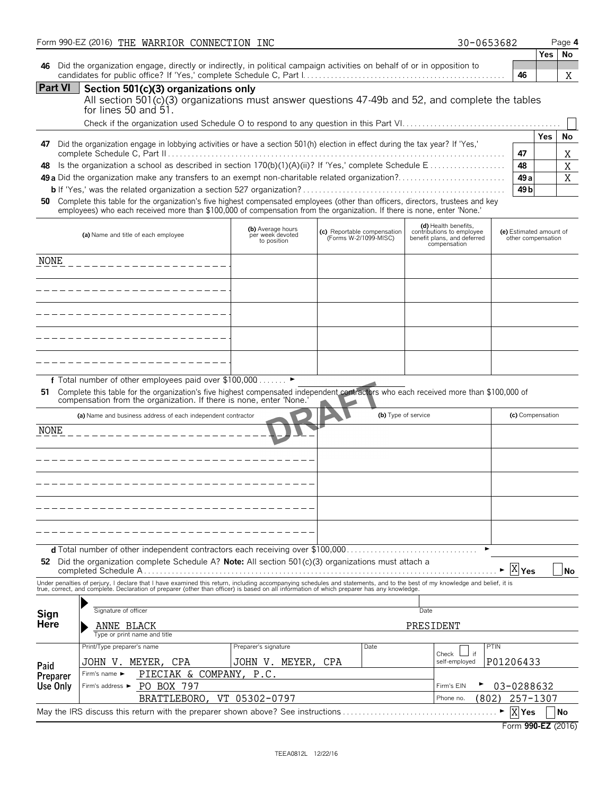|                     | Form 990-EZ (2016) THE WARRIOR CONNECTION INC                                                                                                                                                                                                              |                                                      |                                                      | 30-0653682                                                                                       |                                               |            | Page 4  |
|---------------------|------------------------------------------------------------------------------------------------------------------------------------------------------------------------------------------------------------------------------------------------------------|------------------------------------------------------|------------------------------------------------------|--------------------------------------------------------------------------------------------------|-----------------------------------------------|------------|---------|
| 46                  | Did the organization engage, directly or indirectly, in political campaign activities on behalf of or in opposition to                                                                                                                                     |                                                      |                                                      |                                                                                                  | 46                                            | Yes        | No<br>X |
| <b>Part VI</b>      | Section 501(c)(3) organizations only<br>All section 501(c)(3) organizations must answer questions 47-49b and 52, and complete the tables<br>for lines 50 and 51.                                                                                           |                                                      |                                                      |                                                                                                  |                                               |            |         |
|                     |                                                                                                                                                                                                                                                            |                                                      |                                                      |                                                                                                  |                                               | <b>Yes</b> | No      |
| 47                  | Did the organization engage in lobbying activities or have a section 501(h) election in effect during the tax year? If 'Yes,'                                                                                                                              |                                                      |                                                      |                                                                                                  | 47                                            |            | Χ       |
| 48                  | 49 a Did the organization make any transfers to an exempt non-charitable related organization?                                                                                                                                                             |                                                      |                                                      |                                                                                                  | 48<br>49 <sub>a</sub>                         |            | X<br>X  |
|                     |                                                                                                                                                                                                                                                            |                                                      |                                                      |                                                                                                  | 49 <sub>b</sub>                               |            |         |
| 50                  | Complete this table for the organization's five highest compensated employees (other than officers, directors, trustees and key<br>employees) who each received more than \$100,000 of compensation from the organization. If there is none, enter 'None.' |                                                      |                                                      |                                                                                                  |                                               |            |         |
|                     | (a) Name and title of each employee                                                                                                                                                                                                                        | (b) Average hours<br>per week devoted<br>to position | (c) Reportable compensation<br>(Forms W-2/1099-MISC) | (d) Health benefits,<br>contributions to employee<br>benefit plans, and deferred<br>compensation | (e) Estimated amount of<br>other compensation |            |         |
| NONE                |                                                                                                                                                                                                                                                            |                                                      |                                                      |                                                                                                  |                                               |            |         |
|                     |                                                                                                                                                                                                                                                            |                                                      |                                                      |                                                                                                  |                                               |            |         |
|                     |                                                                                                                                                                                                                                                            |                                                      |                                                      |                                                                                                  |                                               |            |         |
|                     |                                                                                                                                                                                                                                                            |                                                      |                                                      |                                                                                                  |                                               |            |         |
|                     |                                                                                                                                                                                                                                                            |                                                      |                                                      |                                                                                                  |                                               |            |         |
|                     |                                                                                                                                                                                                                                                            |                                                      |                                                      |                                                                                                  |                                               |            |         |
| 51.                 | f Total number of other employees paid over \$100,000<br>Complete this table for the organization's five highest compensated independent contractors who each received more than \$100,000 of                                                              | $\blacktriangleright$                                |                                                      |                                                                                                  |                                               |            |         |
|                     | compensation from the organization. If there is none, enter 'None.'                                                                                                                                                                                        |                                                      |                                                      |                                                                                                  |                                               |            |         |
|                     | (a) Name and business address of each independent contractor                                                                                                                                                                                               |                                                      |                                                      | (b) Type of service                                                                              | (c) Compensation                              |            |         |
| <b>NONE</b>         |                                                                                                                                                                                                                                                            |                                                      |                                                      |                                                                                                  |                                               |            |         |
|                     |                                                                                                                                                                                                                                                            |                                                      |                                                      |                                                                                                  |                                               |            |         |
|                     |                                                                                                                                                                                                                                                            |                                                      |                                                      |                                                                                                  |                                               |            |         |
|                     |                                                                                                                                                                                                                                                            |                                                      |                                                      |                                                                                                  |                                               |            |         |
|                     |                                                                                                                                                                                                                                                            |                                                      |                                                      |                                                                                                  |                                               |            |         |
|                     |                                                                                                                                                                                                                                                            |                                                      |                                                      |                                                                                                  |                                               |            |         |
|                     |                                                                                                                                                                                                                                                            |                                                      |                                                      |                                                                                                  |                                               |            |         |
|                     | 52 Did the organization complete Schedule A? Note: All section 501(c)(3) organizations must attach a                                                                                                                                                       |                                                      |                                                      |                                                                                                  | X<br>Yes                                      |            | No      |
|                     | Under penalties of perjury, I declare that I have examined this return, including accompanying schedules and statements, and to the best of my knowledge and belief, it is true, correct, and complete. Declaration of prepare                             |                                                      |                                                      |                                                                                                  |                                               |            |         |
|                     | Signature of officer                                                                                                                                                                                                                                       |                                                      |                                                      | Date                                                                                             |                                               |            |         |
| Sign<br><b>Here</b> | ANNE BLACK                                                                                                                                                                                                                                                 |                                                      |                                                      | PRESIDENT                                                                                        |                                               |            |         |
|                     | Type or print name and title                                                                                                                                                                                                                               |                                                      |                                                      |                                                                                                  |                                               |            |         |
|                     | Print/Type preparer's name<br>JOHN V. MEYER,<br>CPA                                                                                                                                                                                                        | Preparer's signature<br>JOHN V. MEYER,               | Date<br>CPA                                          | Check<br>if<br>self-employed                                                                     | PTIN<br>P01206433                             |            |         |
| Paid<br>Preparer    | PIECIAK & COMPANY, P.C.<br>Firm's name ►                                                                                                                                                                                                                   |                                                      |                                                      |                                                                                                  |                                               |            |         |
| Use Only            | PO BOX 797<br>Firm's address ►                                                                                                                                                                                                                             |                                                      |                                                      | Firm's EIN                                                                                       | 03-0288632                                    |            |         |
|                     | BRATTLEBORO, VT 05302-0797                                                                                                                                                                                                                                 |                                                      |                                                      | (802)<br>Phone no.                                                                               | 257-1307                                      |            |         |
|                     | May the IRS discuss this return with the preparer shown above? See instructions                                                                                                                                                                            |                                                      |                                                      |                                                                                                  | X Yes<br>Form 990-EZ (2016)                   |            | No      |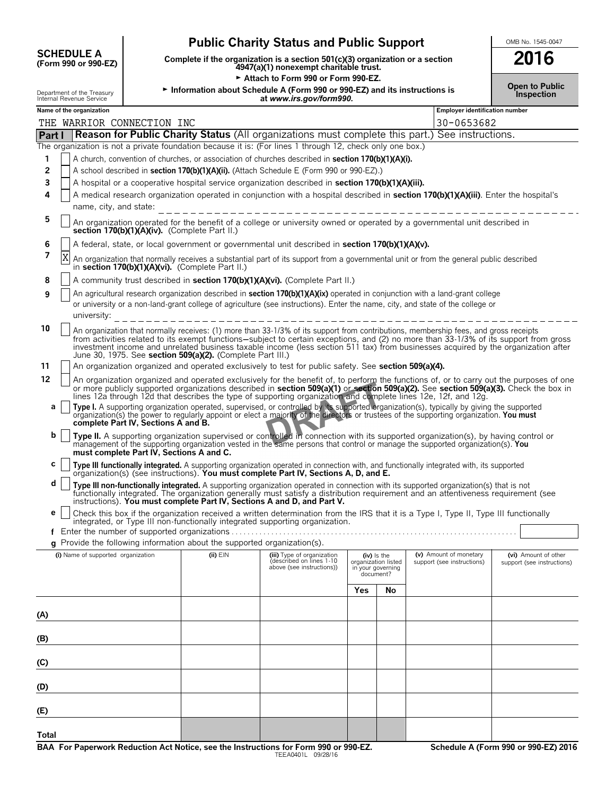| <b>SCHEDULE A</b>    |  |  |
|----------------------|--|--|
| (Form 990 or 990-EZ) |  |  |

## **Public Charity Status and Public Support** <u>OMB No. 1545-004</u>

**(Form 990 or 990-EZ) Complete if the organization is a section 501(c)(3) organization or a section 2016 4947(a)(1) nonexempt charitable trust.**

Attach to Form 990 or Form 990-EZ.

Department of the Treasury <sup>G</sup>**Information about Schedule A (Form 990 or 990-EZ) and its instructions is Inspection** Internal Revenue Service **at** *www.irs.gov/form990.*

|  | UNB NO. 1545-0047 |  |
|--|-------------------|--|
|  |                   |  |

**Open to Public**

|        |   | Name of the organization | THE WARRIOR CONNECTION INC                                                                                                                                                                                                                                                                           |                                                                          |                                                                                                                                                                                                                                                                                                                                                                                                                    |                                                                        |    | Employer identification number<br>30-0653682         |                                                    |  |  |
|--------|---|--------------------------|------------------------------------------------------------------------------------------------------------------------------------------------------------------------------------------------------------------------------------------------------------------------------------------------------|--------------------------------------------------------------------------|--------------------------------------------------------------------------------------------------------------------------------------------------------------------------------------------------------------------------------------------------------------------------------------------------------------------------------------------------------------------------------------------------------------------|------------------------------------------------------------------------|----|------------------------------------------------------|----------------------------------------------------|--|--|
| Part I |   |                          |                                                                                                                                                                                                                                                                                                      |                                                                          | Reason for Public Charity Status (All organizations must complete this part.) See instructions.                                                                                                                                                                                                                                                                                                                    |                                                                        |    |                                                      |                                                    |  |  |
|        |   |                          |                                                                                                                                                                                                                                                                                                      |                                                                          | The organization is not a private foundation because it is: (For lines 1 through 12, check only one box.)                                                                                                                                                                                                                                                                                                          |                                                                        |    |                                                      |                                                    |  |  |
| 1      |   |                          |                                                                                                                                                                                                                                                                                                      |                                                                          | A church, convention of churches, or association of churches described in section 170(b)(1)(A)(i).                                                                                                                                                                                                                                                                                                                 |                                                                        |    |                                                      |                                                    |  |  |
| 2      |   |                          |                                                                                                                                                                                                                                                                                                      |                                                                          | A school described in section 170(b)(1)(A)(ii). (Attach Schedule E (Form 990 or 990-EZ).)                                                                                                                                                                                                                                                                                                                          |                                                                        |    |                                                      |                                                    |  |  |
| 3      |   |                          |                                                                                                                                                                                                                                                                                                      |                                                                          | A hospital or a cooperative hospital service organization described in section 170(b)(1)(A)(iii).                                                                                                                                                                                                                                                                                                                  |                                                                        |    |                                                      |                                                    |  |  |
| 4      |   |                          |                                                                                                                                                                                                                                                                                                      |                                                                          | A medical research organization operated in conjunction with a hospital described in section 170(b)(1)(A)(iii). Enter the hospital's                                                                                                                                                                                                                                                                               |                                                                        |    |                                                      |                                                    |  |  |
|        |   |                          | name, city, and state:                                                                                                                                                                                                                                                                               |                                                                          |                                                                                                                                                                                                                                                                                                                                                                                                                    |                                                                        |    |                                                      |                                                    |  |  |
| 5      |   |                          | <u> 1999 - Alexandr Alexandr Alexandr Alexandr Alexandr Alexandr Alexandr Alexandr Alexandr Alexandr Alexandr Alex</u><br>An organization operated for the benefit of a college or university owned or operated by a governmental unit described in<br>section 170(b)(1)(A)(iv). (Complete Part II.) |                                                                          |                                                                                                                                                                                                                                                                                                                                                                                                                    |                                                                        |    |                                                      |                                                    |  |  |
| 6      |   |                          |                                                                                                                                                                                                                                                                                                      |                                                                          | A federal, state, or local government or governmental unit described in section 170(b)(1)(A)(v).                                                                                                                                                                                                                                                                                                                   |                                                                        |    |                                                      |                                                    |  |  |
| 7      | Χ |                          |                                                                                                                                                                                                                                                                                                      | in section 170(b)(1)(A)(vi). (Complete Part II.)                         | An organization that normally receives a substantial part of its support from a governmental unit or from the general public described                                                                                                                                                                                                                                                                             |                                                                        |    |                                                      |                                                    |  |  |
| 8      |   |                          |                                                                                                                                                                                                                                                                                                      |                                                                          | A community trust described in section 170(b)(1)(A)(vi). (Complete Part II.)                                                                                                                                                                                                                                                                                                                                       |                                                                        |    |                                                      |                                                    |  |  |
| 9      |   |                          |                                                                                                                                                                                                                                                                                                      |                                                                          | An agricultural research organization described in section 170(b)(1)(A)(ix) operated in conjunction with a land-grant college<br>or university or a non-land-grant college of agriculture (see instructions). Enter the name, city, and state of the college or                                                                                                                                                    |                                                                        |    |                                                      |                                                    |  |  |
|        |   | university:              |                                                                                                                                                                                                                                                                                                      |                                                                          |                                                                                                                                                                                                                                                                                                                                                                                                                    |                                                                        |    |                                                      |                                                    |  |  |
| 10     |   |                          |                                                                                                                                                                                                                                                                                                      | June 30, 1975. See section 509(a)(2). (Complete Part III.)               | An organization that normally receives: (1) more than 33-1/3% of its support from contributions, membership fees, and gross receipts<br>from activities related to its exempt functions-subject to certain exceptions, and (2) no more than 33-1/3% of its support from gross<br>investment income and unrelated business taxable income (less section 511 tax) from businesses acquired by the organization after |                                                                        |    |                                                      |                                                    |  |  |
| 11     |   |                          |                                                                                                                                                                                                                                                                                                      |                                                                          | An organization organized and operated exclusively to test for public safety. See section 509(a)(4).                                                                                                                                                                                                                                                                                                               |                                                                        |    |                                                      |                                                    |  |  |
| 12     |   |                          |                                                                                                                                                                                                                                                                                                      |                                                                          | An organization organized and operated exclusively for the benefit of, to perform the functions of, or to carry out the purposes of one<br>or more publicly supported organizations described in section 509(a)(1) or section 509(a)(2). See section 509(a)(3). Check the box in<br>lines 12a through 12d that describes the type of supporting organization and complete lines 12e, 12f, and 12g.                 |                                                                        |    |                                                      |                                                    |  |  |
| а      |   |                          | complete Part IV, Sections A and B.                                                                                                                                                                                                                                                                  |                                                                          | Type I. A supporting organization operated, supervised, or controlled by its supported organization(s), typically by giving the supported organization(s) the power to regularly appoint or elect a majority of the directors                                                                                                                                                                                      |                                                                        |    |                                                      |                                                    |  |  |
| b      |   |                          | must complete Part IV, Sections A and C.                                                                                                                                                                                                                                                             |                                                                          | Type II. A supporting organization supervised or controlled in connection with its supported organization(s), by having control or<br>management of the supporting organization vested in the same persons that control or manage the supported organization(s). You                                                                                                                                               |                                                                        |    |                                                      |                                                    |  |  |
| с      |   |                          |                                                                                                                                                                                                                                                                                                      |                                                                          | Type III functionally integrated. A supporting organization operated in connection with, and functionally integrated with, its supported organization(s) (see instructions). You must complete Part IV, Sections A, D, and E.                                                                                                                                                                                      |                                                                        |    |                                                      |                                                    |  |  |
| d      |   |                          |                                                                                                                                                                                                                                                                                                      |                                                                          | Type III non-functionally integrated. A supporting organization operated in connection with its supported organization(s) that is not<br>functionally integrated. The organization generally must satisfy a distribution requirement and an attentiveness requirement (see<br>instructions). You must complete Part IV, Sections A and D, and Part V.                                                              |                                                                        |    |                                                      |                                                    |  |  |
| е      |   |                          |                                                                                                                                                                                                                                                                                                      |                                                                          | Check this box if the organization received a written determination from the IRS that it is a Type I, Type II, Type III functionally<br>integrated, or Type III non-functionally integrated supporting organization.                                                                                                                                                                                               |                                                                        |    |                                                      |                                                    |  |  |
|        |   |                          |                                                                                                                                                                                                                                                                                                      |                                                                          |                                                                                                                                                                                                                                                                                                                                                                                                                    |                                                                        |    |                                                      |                                                    |  |  |
|        |   |                          |                                                                                                                                                                                                                                                                                                      | g Provide the following information about the supported organization(s). |                                                                                                                                                                                                                                                                                                                                                                                                                    |                                                                        |    |                                                      |                                                    |  |  |
|        |   |                          | (i) Name of supported organization                                                                                                                                                                                                                                                                   | $(ii)$ $EIN$                                                             | (iii) Type of organization<br>described on lines 1-10<br>above (see instructions))                                                                                                                                                                                                                                                                                                                                 | $(iv)$ is the<br>organization listed<br>in your governing<br>document? |    | (v) Amount of monetary<br>support (see instructions) | (vi) Amount of other<br>support (see instructions) |  |  |
|        |   |                          |                                                                                                                                                                                                                                                                                                      |                                                                          |                                                                                                                                                                                                                                                                                                                                                                                                                    | Yes                                                                    | No |                                                      |                                                    |  |  |
|        |   |                          |                                                                                                                                                                                                                                                                                                      |                                                                          |                                                                                                                                                                                                                                                                                                                                                                                                                    |                                                                        |    |                                                      |                                                    |  |  |
| (A)    |   |                          |                                                                                                                                                                                                                                                                                                      |                                                                          |                                                                                                                                                                                                                                                                                                                                                                                                                    |                                                                        |    |                                                      |                                                    |  |  |
|        |   |                          |                                                                                                                                                                                                                                                                                                      |                                                                          |                                                                                                                                                                                                                                                                                                                                                                                                                    |                                                                        |    |                                                      |                                                    |  |  |
| (B)    |   |                          |                                                                                                                                                                                                                                                                                                      |                                                                          |                                                                                                                                                                                                                                                                                                                                                                                                                    |                                                                        |    |                                                      |                                                    |  |  |
| (C)    |   |                          |                                                                                                                                                                                                                                                                                                      |                                                                          |                                                                                                                                                                                                                                                                                                                                                                                                                    |                                                                        |    |                                                      |                                                    |  |  |
| (D)    |   |                          |                                                                                                                                                                                                                                                                                                      |                                                                          |                                                                                                                                                                                                                                                                                                                                                                                                                    |                                                                        |    |                                                      |                                                    |  |  |
| (E)    |   |                          |                                                                                                                                                                                                                                                                                                      |                                                                          |                                                                                                                                                                                                                                                                                                                                                                                                                    |                                                                        |    |                                                      |                                                    |  |  |
| Total  |   |                          |                                                                                                                                                                                                                                                                                                      |                                                                          |                                                                                                                                                                                                                                                                                                                                                                                                                    |                                                                        |    |                                                      |                                                    |  |  |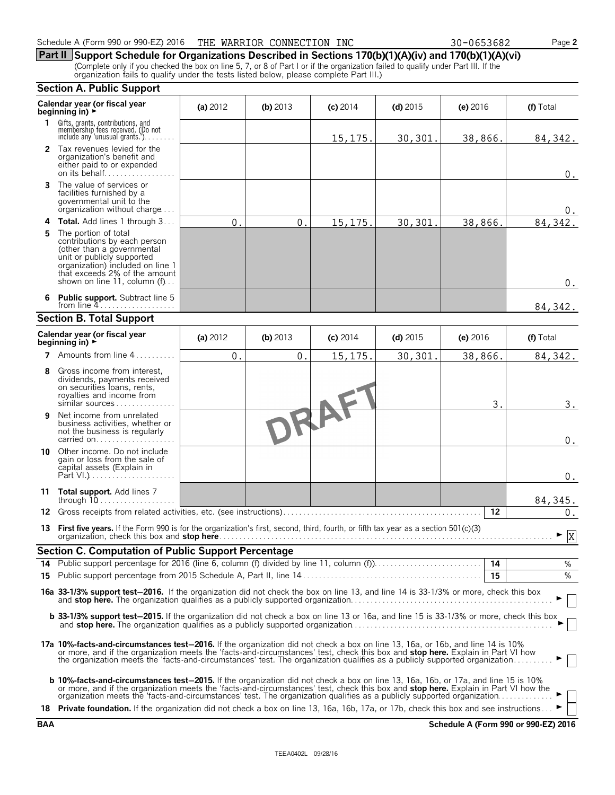| Schedule A (Form 990 or 990-EZ) 2016 | THE WARRIOR CONNECTION INC | 30-0653682 | Page 2 |
|--------------------------------------|----------------------------|------------|--------|
|--------------------------------------|----------------------------|------------|--------|

**Part II Support Schedule for Organizations Described in Sections 170(b)(1)(A)(iv) and 170(b)(1)(A)(vi)** (Complete only if you checked the box on line 5, 7, or 8 of Part I or if the organization failed to qualify under Part III. If the organization fails to qualify under the tests listed below, please complete Part III.)

#### **Section A. Public Support Calendar year (or fiscal year (a) 2012 <b>(b)** 2013 **(c)** 2014 **(d)** 2015 **(e)** 2016 **(f)** Total **beginning in) F 1** Gifts, grants, contributions, and<br>
membership fees received. (Do not<br>
include any 'unusual grants.'). . . . . . . . 15,175. 30,301. 38,866. 84,342. **2** Tax revenues levied for the organization's benefit and either paid to or expended on its behalf. . . . . . . . . . . . . . . . . . 0. **3** The value of services or facilities furnished by a governmental unit to the organization without charge. . . .  $\Omega$ **4 Total.** Add lines 1 through 3 . . . 0. 0. 15,175. 30,301. 38,866. 84,342. **5** The portion of total contributions by each person (other than a governmental unit or publicly supported organization) included on line 1 that exceeds 2% of the amount shown on line 11, column (f)... 0. **6 Public support.** Subtract line 5 from line 4 84,342. **Section B. Total Support Calendar year (or fiscal year (a) 2012 <b>(b)** 2013 **(c)** 2014 **(d)** 2015 **(e)** 2016 **(f)** Total **beginning in) 7** Amounts from line 4.....  $0.$  0. 15,175. 30,301. 38,866. 84,342. **8** Gross income from interest, dividends, payments received on securities loans, rents, royalties and income from  $3.$  3. similar sources . . . Đ **9** Net income from unrelated business activities, whether or not the business is regularly  $\boldsymbol{0}$  . carried on. . . . . . . . . . . . . . **10** Other income. Do not include gain or loss from the sale of capital assets (Explain in Part VI.). 0. **11 Total support.** Add lines 7 through 10. . . . . . . . . . . . . . . . 84,345. **12** Gross receipts from related activities, etc. (see instructions). . . . . . . . . . . . . . . . . . . . . . . . . . . . . . . . . . . . . . . . . . . . . . . . . . **12**  $0.$ **13 First five years.** If the Form 990 is for the organization's first, second, third, fourth, or fifth tax year as a section 501(c)(3) organization, check this box and **stop here**. . . . . . . . . . . . . . . . . . . . . . . . . . . . . . . . . . . . . . . . . . . . . . . . . . . . . . . . . . . . . . . . . . . . . . . . . . . . . . . . . . . . G X**Section C. Computation of Public Support Percentage 14** Public support percentage for 2016 (line 6, column (f) divided by line 11, column (f)). . . . . . . . . . . . . . . . . . . . . . . . . . . **14** % **15** Public support percentage from 2015 Schedule A, Part II, line 14 . . . . . . . . . . . . . . . . . . . . . . . . . . . . . . . . . . . . . . . . . . . . . **15** % **16a 33-1/3% support test**'**2016.** If the organization did not check the box on line 13, and line 14 is 33-1/3% or more, check this box and **stop here.** The organization qualifies as a publicly supported organization. . . . . . . . . . . . . . . . . . . . . . . . . . . . . . . . . . . . . . . . . . . . . . . . . . . G **b 33-1/3% support test-2015.** If the organization did not check a box on line 13 or 16a, and line 15 is 33-1/3% or more, check this box and **stop here.** The organization qualifies as a publicly supported organization. . . . . . . . . . . . . . . . . . . . . . . . . . . . . . . . . . . . . . . . . . . . . . . . . . . G **17a 10%-facts-and-circumstances test**'**2016.** If the organization did not check a box on line 13, 16a, or 16b, and line 14 is 10% or more, and if the organization meets the 'facts-and-circumstances' test, check this box and **stop here.** Explain in Part VI how the organization meets the 'facts-and-circumstances' test. The organization qualifies as a publicly supported organization. . . . . . . . . . G **b 10%-facts-and-circumstances test**'**2015.** If the organization did not check a box on line 13, 16a, 16b, or 17a, and line 15 is 10% or more, and if the organization meets the 'facts-and-circumstances' test, check this box and **stop here.** Explain in Part VI how the<br>organization meets the 'facts-and-circumstances' test. The organization qualifies as a 18 **Private foundation.** If the organization did not check a box on line 13, 16a, 16b, 17a, or 17b, check this box and see instructions.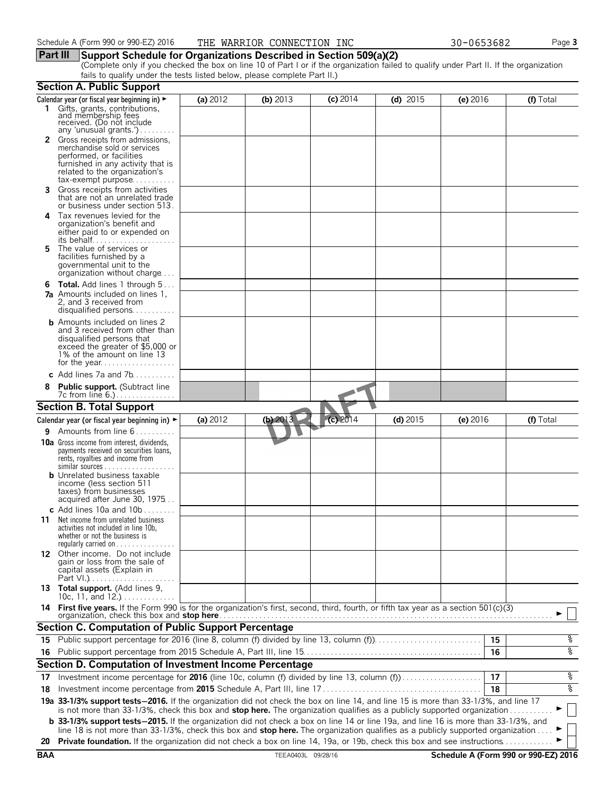#### **Part III Support Schedule for Organizations Described in Section 509(a)(2)**

(Complete only if you checked the box on line 10 of Part I or if the organization failed to qualify under Part II. If the organization fails to qualify under the tests listed below, please complete Part II.)

|            | <b>Section A. Public Support</b>                                                                                                                                                                                                                                      |          |                    |            |            |          |                                      |
|------------|-----------------------------------------------------------------------------------------------------------------------------------------------------------------------------------------------------------------------------------------------------------------------|----------|--------------------|------------|------------|----------|--------------------------------------|
|            | Calendar year (or fiscal year beginning in) ►                                                                                                                                                                                                                         | (a) 2012 | (b) $2013$         | $(c)$ 2014 | $(d)$ 2015 | (e) 2016 | (f) Total                            |
|            | 1 Gifts, grants, contributions,<br>and membership fees<br>received. (Do not include<br>any 'unusual grants.')                                                                                                                                                         |          |                    |            |            |          |                                      |
|            | 2 Gross receipts from admissions,<br>merchandise sold or services                                                                                                                                                                                                     |          |                    |            |            |          |                                      |
|            | performed, or facilities<br>furnished in any activity that is<br>related to the organization's<br>$tax\text{-}exempt$ purpose                                                                                                                                         |          |                    |            |            |          |                                      |
| 3.         | Gross receipts from activities<br>that are not an unrelated trade<br>or business under section 513.                                                                                                                                                                   |          |                    |            |            |          |                                      |
| 4          | Tax revenues levied for the<br>organization's benefit and<br>either paid to or expended on                                                                                                                                                                            |          |                    |            |            |          |                                      |
| 5          | The value of services or<br>facilities furnished by a<br>governmental unit to the<br>organization without charge                                                                                                                                                      |          |                    |            |            |          |                                      |
| 6          | <b>Total.</b> Add lines 1 through 5<br><b>7a</b> Amounts included on lines 1.<br>2, and 3 received from<br>disqualified persons                                                                                                                                       |          |                    |            |            |          |                                      |
|            | <b>b</b> Amounts included on lines 2<br>and 3 received from other than<br>disqualified persons that<br>exceed the greater of \$5,000 or<br>1% of the amount on line 13                                                                                                |          |                    |            |            |          |                                      |
|            | c Add lines $7a$ and $7b$                                                                                                                                                                                                                                             |          |                    |            |            |          |                                      |
|            | <b>Public support.</b> (Subtract line<br>7c from line 6.).                                                                                                                                                                                                            |          |                    |            |            |          |                                      |
|            | <b>Section B. Total Support</b>                                                                                                                                                                                                                                       |          |                    |            |            |          |                                      |
|            | Calendar year (or fiscal year beginning in) $\blacktriangleright$                                                                                                                                                                                                     | (a) 2012 | (b) 2013           | (c) 2014   | $(d)$ 2015 | (e) 2016 | (f) Total                            |
| 9          | Amounts from line $6, 1, 1, 1, 1, 1$                                                                                                                                                                                                                                  |          |                    |            |            |          |                                      |
|            | <b>10a</b> Gross income from interest, dividends,<br>payments received on securities loans,<br>rents, royalties and income from                                                                                                                                       |          |                    |            |            |          |                                      |
|            | <b>b</b> Unrelated business taxable<br>income (less section 511<br>taxes) from businesses<br>acquired after June 30, 1975                                                                                                                                             |          |                    |            |            |          |                                      |
|            | c Add lines 10a and $10b$                                                                                                                                                                                                                                             |          |                    |            |            |          |                                      |
|            | 11 Net income from unrelated business<br>activities not included in line 10b,<br>whether or not the business is<br>regularly carried on $\dots\dots\dots$                                                                                                             |          |                    |            |            |          |                                      |
|            | 12 Other income. Do not include<br>gain or loss from the sale of<br>capital assets (Explain in                                                                                                                                                                        |          |                    |            |            |          |                                      |
|            | 13 Total support. (Add lines 9,<br>10c, 11, and 12.) $\ldots$                                                                                                                                                                                                         |          |                    |            |            |          |                                      |
|            | 14 First five years. If the Form 990 is for the organization's first, second, third, fourth, or fifth tax year as a section 501(c)(3)<br>organization, check this box and stop here.                                                                                  |          |                    |            |            |          |                                      |
|            | <b>Section C. Computation of Public Support Percentage</b>                                                                                                                                                                                                            |          |                    |            |            |          |                                      |
|            |                                                                                                                                                                                                                                                                       |          |                    |            |            | 15       | န့                                   |
|            |                                                                                                                                                                                                                                                                       |          |                    |            |            | 16       | ०१०                                  |
|            | <b>Section D. Computation of Investment Income Percentage</b>                                                                                                                                                                                                         |          |                    |            |            |          |                                      |
| 17         | Investment income percentage for 2016 (line 10c, column (f) divided by line 13, column (f)                                                                                                                                                                            |          |                    |            |            | 17       | %                                    |
| 18         |                                                                                                                                                                                                                                                                       |          |                    |            |            | 18       | ०७                                   |
|            | 19a 33-1/3% support tests-2016. If the organization did not check the box on line 14, and line 15 is more than 33-1/3%, and line 17                                                                                                                                   |          |                    |            |            |          |                                      |
|            | is not more than 33-1/3%, check this box and stop here. The organization qualifies as a publicly supported organization<br><b>b</b> 33-1/3% support tests-2015. If the organization did not check a box on line 14 or line 19a, and line 16 is more than 33-1/3%, and |          |                    |            |            |          |                                      |
|            | line 18 is not more than 33-1/3%, check this box and stop here. The organization qualifies as a publicly supported organization                                                                                                                                       |          |                    |            |            |          |                                      |
| 20         | Private foundation. If the organization did not check a box on line 14, 19a, or 19b, check this box and see instructions.                                                                                                                                             |          |                    |            |            |          |                                      |
| <b>BAA</b> |                                                                                                                                                                                                                                                                       |          | TEEA0403L 09/28/16 |            |            |          | Schedule A (Form 990 or 990-EZ) 2016 |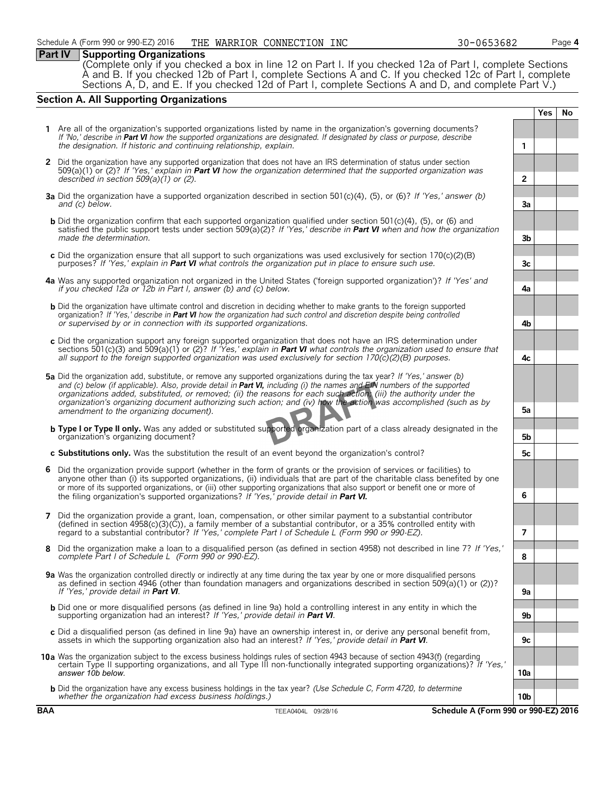#### **Part IV Supporting Organizations**

(Complete only if you checked a box in line 12 on Part I. If you checked 12a of Part I, complete Sections A and B. If you checked 12b of Part I, complete Sections A and C. If you checked 12c of Part I, complete Sections A, D, and E. If you checked 12d of Part I, complete Sections A and D, and complete Part V.)

### **Section A. All Supporting Organizations**

**Yes No 1** Are all of the organization's supported organizations listed by name in the organization's governing documents? *If 'No,' describe in Part VI how the supported organizations are designated. If designated by class or purpose, describe the designation. If historic and continuing relationship, explain.* **1 2** Did the organization have any supported organization that does not have an IRS determination of status under section 509(a)(1) or (2)? *If 'Yes,' explain in Part VI how the organization determined that the supported organization was described in section 509(a)(1) or (2).* **2 3a** Did the organization have a supported organization described in section 501(c)(4), (5), or (6)? *If 'Yes,' answer (b) and (c) below.* **3a b** Did the organization confirm that each supported organization qualified under section 501(c)(4), (5), or (6) and satisfied the public support tests under section 509(a)(2)? *If 'Yes,' describe in Part VI when and how the organization made the determination.* **3b c** Did the organization ensure that all support to such organizations was used exclusively for section 170(c)(2)(B) purposes? *If 'Yes,' explain in Part VI what controls the organization put in place to ensure such use.* **3c 4a** Was any supported organization not organized in the United States ('foreign supported organization')? *If 'Yes' and if you checked 12a or 12b in Part I, answer (b) and (c) below.* **4a b** Did the organization have ultimate control and discretion in deciding whether to make grants to the foreign supported organization? *If 'Yes,' describe in Part VI how the organization had such control and discretion despite being controlled or supervised by or in connection with its supported organizations.* **4b c** Did the organization support any foreign supported organization that does not have an IRS determination under sections 501(c)(3) and 509(a)(1) or (2)? *If 'Yes,' explain in Part VI what controls the organization used to ensure that all support to the foreign supported organization was used exclusively for section 170(c)(2)(B) purposes.* **4c 5a** Did the organization add, substitute, or remove any supported organizations during the tax year? *If 'Yes,' answer (b) and (c) below (if applicable). Also, provide detail in Part VI, including (i) the names and EIN numbers of the supported organizations added, substituted, or removed; (ii) the reasons for each such action; (iii) the authority under the organization's organizing document authorizing such action; and (iv) how the action was accomplished (such as by amendment to the organizing document).* **5a b Type I or Type II only.** Was any added or substituted supported organization part of a class already designated in the organization's organizing document? **5b c Substitutions only.** Was the substitution the result of an event beyond the organization's control? **5c 6** Did the organization provide support (whether in the form of grants or the provision of services or facilities) to anyone other than (i) its supported organizations, (ii) individuals that are part of the charitable class benefited by one or more of its supported organizations, or (iii) other supporting organizations that also support or benefit one or more of the filing organization's supported organizations? *If 'Yes,' provide detail in Part VI.* **6 7** Did the organization provide a grant, loan, compensation, or other similar payment to a substantial contributor (defined in section 4958(c)(3)(C)), a family member of a substantial contributor, or a 35% controlled entity with regard to a substantial contributor? *If 'Yes,' complete Part I of Schedule L (Form 990 or 990-EZ).* **7 8** Did the organization make a loan to a disqualified person (as defined in section 4958) not described in line 7? *If 'Yes,' complete Part I of Schedule L (Form 990 or 990-EZ).* **8 9a** Was the organization controlled directly or indirectly at any time during the tax year by one or more disqualified persons as defined in section 4946 (other than foundation managers and organizations described in section 509(a)(1) or (2))? *If 'Yes,' provide detail in Part VI*. b Did one or more disqualified persons (as defined in line 9a) hold a controlling interest in any entity in which the<br>supporting organization had an interest? If 'Yes,' provide detail in Part VI. **c** Did a disqualified person (as defined in line 9a) have an ownership interest in, or derive any personal benefit from, assets in which the supporting organization also had an interest? *If 'Yes,' provide detail in Part VI*. **9c 10a** Was the organization subject to the excess business holdings rules of section 4943 because of section 4943(f) (regarding certain Type II supporting organizations, and all Type III non-functionally integrated supporting organizations)? *If 'Yes,' answer 10b below.* **10a b** Did the organization have any excess business holdings in the tax year? *(Use Schedule C, Form 4720, to determine whether the organization had excess business holdings.)* **10b**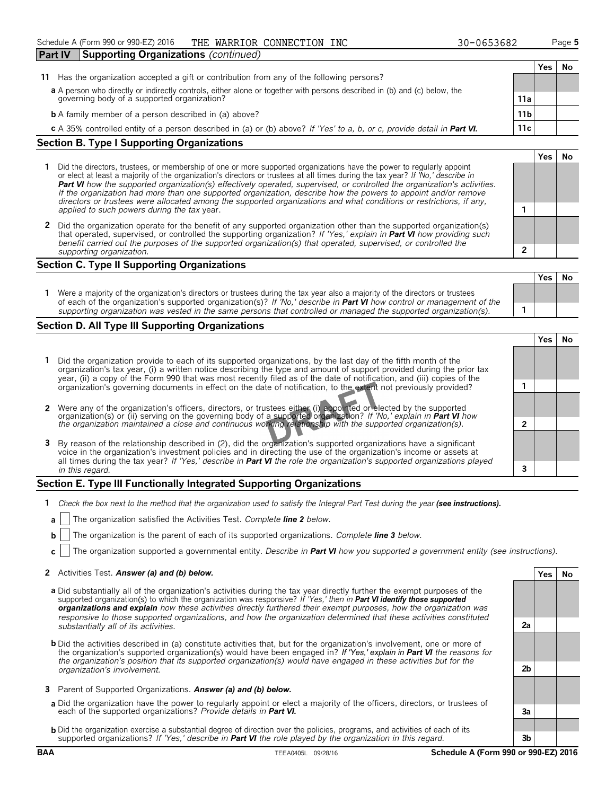#### **1** Did the directors, trustees, or membership of one or more supported organizations have the power to regularly appoint or elect at least a majority of the organization's directors or trustees at all times during the tax year? *If 'No,' describe in Part VI how the supported organization(s) effectively operated, supervised, or controlled the organization's activities. If the organization had more than one supported organization, describe how the powers to appoint and/or remove directors or trustees were allocated among the supported organizations and what conditions or restrictions, if any, applied to such powers during the tax* year. **1**

**2** Did the organization operate for the benefit of any supported organization other than the supported organization(s) that operated, supervised, or controlled the supporting organization? *If 'Yes,' explain in Part VI how providing such benefit carried out the purposes of the supported organization(s) that operated, supervised, or controlled the supporting organization.* **2**

#### **Section C. Type II Supporting Organizations**

|                                                                                                                                                                                                                                                               | 1 e S | - IVO |
|---------------------------------------------------------------------------------------------------------------------------------------------------------------------------------------------------------------------------------------------------------------|-------|-------|
| Were a majority of the organization's directors or trustees during the tax year also a majority of the directors or trustees<br>of each of the organization's supported organization(s)? If 'No,' describe in <b>Part VI</b> how control or management of the |       |       |
| supporting organization was vested in the same persons that controlled or managed the supported organization(s).                                                                                                                                              |       |       |

### **Section D. All Type III Supporting Organizations**

| Did the organization provide to each of its supported organizations, by the last day of the fifth month of the<br>organization's tax year, (i) a written notice describing the type and amount of support provided during the prior tax<br>year, (ii) a copy of the Form 990 that was most recently filed as of the date of notification, and (iii) copies of the           |  |  |
|-----------------------------------------------------------------------------------------------------------------------------------------------------------------------------------------------------------------------------------------------------------------------------------------------------------------------------------------------------------------------------|--|--|
| organization's governing documents in effect on the date of notification, to the extent not previously provided?                                                                                                                                                                                                                                                            |  |  |
| 2 Were any of the organization's officers, directors, or trustees either (i) appointed or elected by the supported                                                                                                                                                                                                                                                          |  |  |
| organization(s) or (ii) serving on the governing body of a supported organization? If No, explain in <b>Part VI</b> how<br>the organization maintained a close and continuous working relationship with the supported organization(s).                                                                                                                                      |  |  |
| 3 By reason of the relationship described in (2), did the organization's supported organizations have a significant<br>voice in the organization's investment policies and in directing the use of the organization's income or assets at<br>all times during the tax year? If 'Yes,' describe in <b>Part VI</b> the role the organization's supported organizations played |  |  |
| in this regard.                                                                                                                                                                                                                                                                                                                                                             |  |  |

#### **Section E. Type III Functionally Integrated Supporting Organizations**

- **1** *Check the box next to the method that the organization used to satisfy the Integral Part Test during the year (see instructions).*
- **a** The organization satisfied the Activities Test. *Complete line 2 below.*
- **b** The organization is the parent of each of its supported organizations. *Complete line 3 below.*
- **c** The organization supported a governmental entity. *Describe in Part VI how you supported a government entity (see instructions).*

#### **2** Activities Test. *Answer (a) and (b) below.* **Yes No**

- **a** Did substantially all of the organization's activities during the tax year directly further the exempt purposes of the supported organization(s) to which the organization was responsive? *If 'Yes,' then in Part VI identify those supported organizations and explain how these activities directly furthered their exempt purposes, how the organization was responsive to those supported organizations, and how the organization determined that these activities constituted substantially all of its activities.* **2a**
- **b** Did the activities described in (a) constitute activities that, but for the organization's involvement, one or more of the organization's supported organization(s) would have been engaged in? *If 'Yes,' explain in Part VI the reasons for the organization's position that its supported organization(s) would have engaged in these activities but for the organization's involvement.* **2b**
- **3** Parent of Supported Organizations. *Answer (a) and (b) below.*
- **a** Did the organization have the power to regularly appoint or elect a majority of the officers, directors, or trustees of each of the supported organizations? *Provide details in Part VI.* **3a**
- **b** Did the organization exercise a substantial degree of direction over the policies, programs, and activities of each of its supported organizations? *If 'Yes,' describe in Part VI the role played by the organization in this regard.* **3b**

**Yes No**

**Yes No**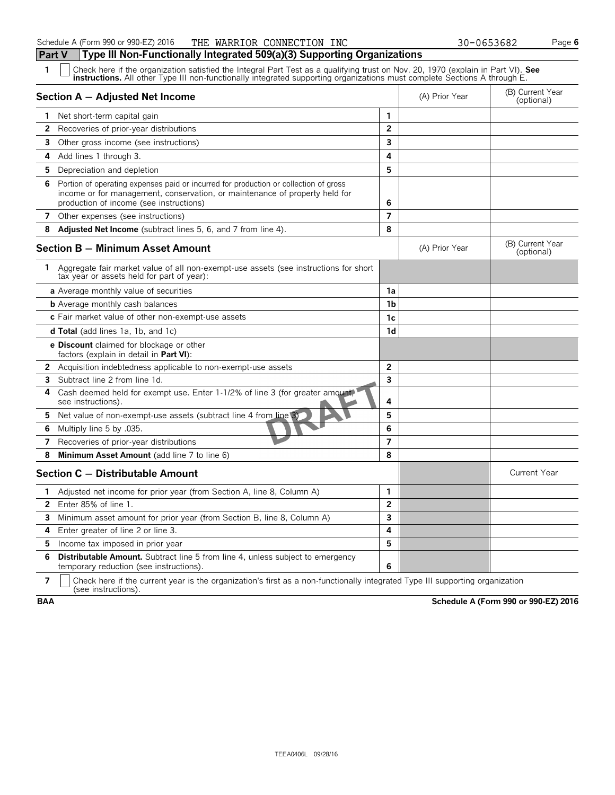| 1  | Check here if the organization satisfied the Integral Part Test as a qualifying trust on Nov. 20, 1970 (explain in Part VI). See<br><b>instructions.</b> All other Type III non-functionally integrated supporting organizations must complete Sections A through E. |                |                |                                |  |  |  |  |  |
|----|----------------------------------------------------------------------------------------------------------------------------------------------------------------------------------------------------------------------------------------------------------------------|----------------|----------------|--------------------------------|--|--|--|--|--|
|    | Section A - Adjusted Net Income                                                                                                                                                                                                                                      |                | (A) Prior Year | (B) Current Year<br>(optional) |  |  |  |  |  |
|    | <b>1</b> Net short-term capital gain                                                                                                                                                                                                                                 | 1              |                |                                |  |  |  |  |  |
| 2  | Recoveries of prior-year distributions                                                                                                                                                                                                                               | $\overline{2}$ |                |                                |  |  |  |  |  |
| 3  | Other gross income (see instructions)                                                                                                                                                                                                                                | 3              |                |                                |  |  |  |  |  |
| 4  | Add lines 1 through 3.                                                                                                                                                                                                                                               | 4              |                |                                |  |  |  |  |  |
|    | 5 Depreciation and depletion                                                                                                                                                                                                                                         | 5              |                |                                |  |  |  |  |  |
| 6. | Portion of operating expenses paid or incurred for production or collection of gross<br>income or for management, conservation, or maintenance of property held for<br>production of income (see instructions)                                                       | 6              |                |                                |  |  |  |  |  |
| 7  | Other expenses (see instructions)                                                                                                                                                                                                                                    | 7              |                |                                |  |  |  |  |  |
| 8  | Adjusted Net Income (subtract lines 5, 6, and 7 from line 4).                                                                                                                                                                                                        | 8              |                |                                |  |  |  |  |  |
|    | <b>Section B - Minimum Asset Amount</b>                                                                                                                                                                                                                              |                | (A) Prior Year | (B) Current Year<br>(optional) |  |  |  |  |  |
| 1. | Aggregate fair market value of all non-exempt-use assets (see instructions for short<br>tax year or assets held for part of year):                                                                                                                                   |                |                |                                |  |  |  |  |  |
|    | a Average monthly value of securities                                                                                                                                                                                                                                | 1a             |                |                                |  |  |  |  |  |
|    | <b>b</b> Average monthly cash balances                                                                                                                                                                                                                               | 1 <sub>b</sub> |                |                                |  |  |  |  |  |
|    | c Fair market value of other non-exempt-use assets                                                                                                                                                                                                                   | 1c             |                |                                |  |  |  |  |  |
|    | <b>d Total</b> (add lines 1a, 1b, and 1c)                                                                                                                                                                                                                            | 1d             |                |                                |  |  |  |  |  |
|    | <b>e Discount</b> claimed for blockage or other<br>factors (explain in detail in <b>Part VI</b> ):                                                                                                                                                                   |                |                |                                |  |  |  |  |  |
|    | <b>2</b> Acquisition indebtedness applicable to non-exempt-use assets                                                                                                                                                                                                | $\overline{2}$ |                |                                |  |  |  |  |  |
| 3  | Subtract line 2 from line 1d.                                                                                                                                                                                                                                        | 3              |                |                                |  |  |  |  |  |
| 4  | Cash deemed held for exempt use. Enter 1-1/2% of line 3 (for greater amount)<br>see instructions).                                                                                                                                                                   | 4              |                |                                |  |  |  |  |  |
| 5  | Net value of non-exempt-use assets (subtract line 4 from line 3)                                                                                                                                                                                                     | 5              |                |                                |  |  |  |  |  |
| 6  | Multiply line 5 by .035.                                                                                                                                                                                                                                             | 6              |                |                                |  |  |  |  |  |
| 7  | Recoveries of prior-year distributions                                                                                                                                                                                                                               | 7              |                |                                |  |  |  |  |  |
| 8  | Minimum Asset Amount (add line 7 to line 6)                                                                                                                                                                                                                          | 8              |                |                                |  |  |  |  |  |
|    | Section C - Distributable Amount                                                                                                                                                                                                                                     |                |                | <b>Current Year</b>            |  |  |  |  |  |
| 1  | Adjusted net income for prior year (from Section A, line 8, Column A)                                                                                                                                                                                                | 1              |                |                                |  |  |  |  |  |
| 2  | Enter 85% of line 1.                                                                                                                                                                                                                                                 | 2              |                |                                |  |  |  |  |  |
| 3  | Minimum asset amount for prior year (from Section B, line 8, Column A)                                                                                                                                                                                               | 3              |                |                                |  |  |  |  |  |
| 4  | Enter greater of line 2 or line 3.                                                                                                                                                                                                                                   | 4              |                |                                |  |  |  |  |  |
| 5  | Income tax imposed in prior year                                                                                                                                                                                                                                     | 5              |                |                                |  |  |  |  |  |
| 6  | Distributable Amount. Subtract line 5 from line 4, unless subject to emergency<br>temporary reduction (see instructions).                                                                                                                                            | 6              |                |                                |  |  |  |  |  |

**7**  $\mid$  Check here if the current year is the organization's first as a non-functionally integrated Type III supporting organization (see instructions).

**BAA Schedule A (Form 990 or 990-EZ) 2016**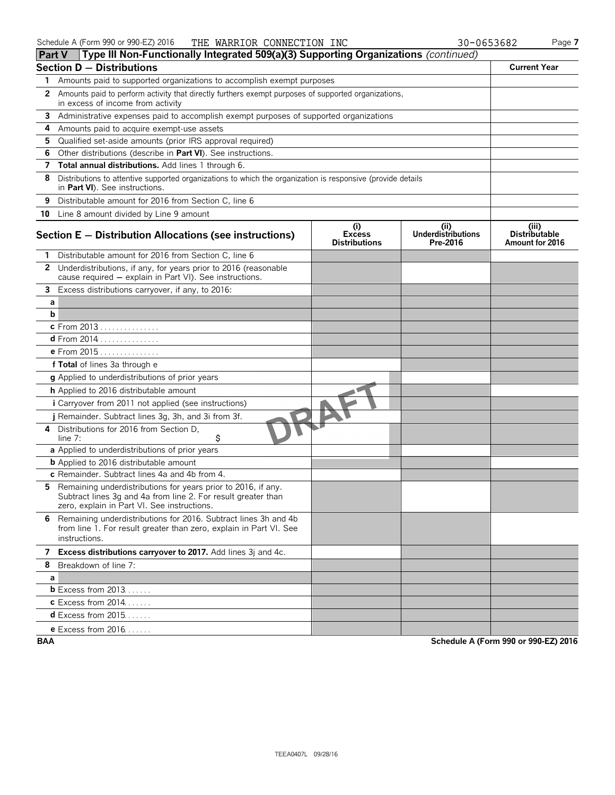| <b>Part V</b> | $\Box$ Type III Non-Functionally integrated 509(a)(3) Supporting Organizations (continued)                                                                                      |                                              |                                              |                                                  |
|---------------|---------------------------------------------------------------------------------------------------------------------------------------------------------------------------------|----------------------------------------------|----------------------------------------------|--------------------------------------------------|
|               | Section $D -$ Distributions                                                                                                                                                     |                                              |                                              | <b>Current Year</b>                              |
| 1             | Amounts paid to supported organizations to accomplish exempt purposes                                                                                                           |                                              |                                              |                                                  |
|               | 2 Amounts paid to perform activity that directly furthers exempt purposes of supported organizations,<br>in excess of income from activity                                      |                                              |                                              |                                                  |
|               | 3 Administrative expenses paid to accomplish exempt purposes of supported organizations                                                                                         |                                              |                                              |                                                  |
| 4             | Amounts paid to acquire exempt-use assets                                                                                                                                       |                                              |                                              |                                                  |
| 5             | Qualified set-aside amounts (prior IRS approval required)                                                                                                                       |                                              |                                              |                                                  |
| 6             | Other distributions (describe in Part VI). See instructions.                                                                                                                    |                                              |                                              |                                                  |
| 7             | Total annual distributions. Add lines 1 through 6.                                                                                                                              |                                              |                                              |                                                  |
| 8             | Distributions to attentive supported organizations to which the organization is responsive (provide details<br>in Part VI). See instructions.                                   |                                              |                                              |                                                  |
|               | 9 Distributable amount for 2016 from Section C, line 6                                                                                                                          |                                              |                                              |                                                  |
|               | 10 Line 8 amount divided by Line 9 amount                                                                                                                                       |                                              |                                              |                                                  |
|               | Section E - Distribution Allocations (see instructions)                                                                                                                         | (i)<br><b>Excess</b><br><b>Distributions</b> | (i)<br><b>Underdistributions</b><br>Pre-2016 | (iii)<br><b>Distributable</b><br>Amount for 2016 |
|               | 1 Distributable amount for 2016 from Section C, line 6                                                                                                                          |                                              |                                              |                                                  |
| 2             | Underdistributions, if any, for years prior to 2016 (reasonable<br>cause required - explain in Part VI). See instructions.                                                      |                                              |                                              |                                                  |
| 3             | Excess distributions carryover, if any, to 2016:                                                                                                                                |                                              |                                              |                                                  |
| a             |                                                                                                                                                                                 |                                              |                                              |                                                  |
| b             |                                                                                                                                                                                 |                                              |                                              |                                                  |
|               | c From 2013                                                                                                                                                                     |                                              |                                              |                                                  |
|               | d From 2014                                                                                                                                                                     |                                              |                                              |                                                  |
|               | e From 2015                                                                                                                                                                     |                                              |                                              |                                                  |
|               | f Total of lines 3a through e                                                                                                                                                   |                                              |                                              |                                                  |
|               | g Applied to underdistributions of prior years                                                                                                                                  |                                              |                                              |                                                  |
|               | <b>h</b> Applied to 2016 distributable amount                                                                                                                                   |                                              |                                              |                                                  |
|               | <i>i</i> Carryover from 2011 not applied (see instructions)                                                                                                                     |                                              |                                              |                                                  |
|               | j Remainder. Subtract lines 3g, 3h, and 3i from 3f.                                                                                                                             |                                              |                                              |                                                  |
|               | 4 Distributions for 2016 from Section D,<br>\$<br>line $7:$                                                                                                                     |                                              |                                              |                                                  |
|               | a Applied to underdistributions of prior years                                                                                                                                  |                                              |                                              |                                                  |
|               | <b>b</b> Applied to 2016 distributable amount                                                                                                                                   |                                              |                                              |                                                  |
|               | c Remainder. Subtract lines 4a and 4b from 4.                                                                                                                                   |                                              |                                              |                                                  |
|               | 5 Remaining underdistributions for years prior to 2016, if any.<br>Subtract lines 3q and 4a from line 2. For result greater than<br>zero, explain in Part VI. See instructions. |                                              |                                              |                                                  |
|               | 6 Remaining underdistributions for 2016. Subtract lines 3h and 4b<br>from line 1. For result greater than zero, explain in Part VI. See<br>instructions.                        |                                              |                                              |                                                  |
|               | 7 Excess distributions carryover to 2017. Add lines 3j and 4c.                                                                                                                  |                                              |                                              |                                                  |
|               | 8 Breakdown of line 7:                                                                                                                                                          |                                              |                                              |                                                  |
| a             |                                                                                                                                                                                 |                                              |                                              |                                                  |
|               | <b>b</b> Excess from $2013$                                                                                                                                                     |                                              |                                              |                                                  |
|               | <b>c</b> Excess from 2014                                                                                                                                                       |                                              |                                              |                                                  |
|               | $d$ Excess from 2015                                                                                                                                                            |                                              |                                              |                                                  |
|               | <b>e</b> Excess from $2016$                                                                                                                                                     |                                              |                                              |                                                  |
|               |                                                                                                                                                                                 |                                              |                                              |                                                  |

**BAA Schedule A (Form 990 or 990-EZ) 2016**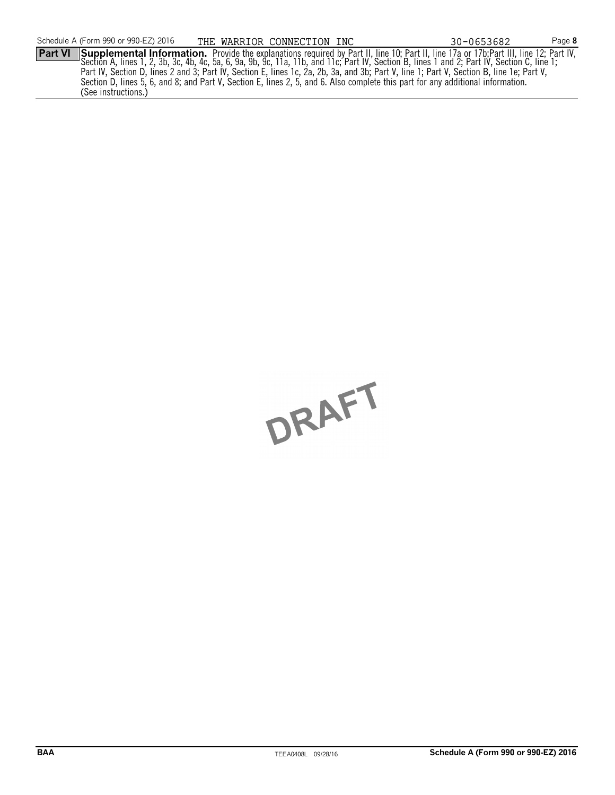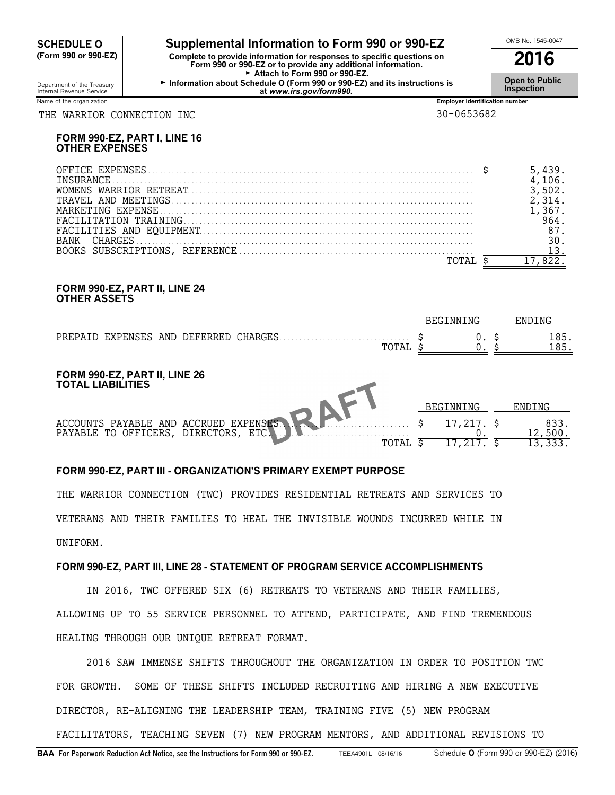# **CHEDULE O** Supplemental Information to Form 990 or 990-EZ<br>
Form 990 or 990-EZ) Complete to provide information for responses to specific questions on

**(Form 990 or 990-EZ) Complete to provide information for responses to specific questions on Form 990 or 990-EZ or to provide any additional information. 2016** Attach to Form 990 or 990-EZ. Gepartment of the Treasury **Information about Schedule O (Form 990 or 990-EZ) and its instructions is**<br>Internal Revenue Service<br>at www.irs.gov/form990. Internal Revenue Service **Inspection at** *www.irs.gov/form990.*

Name of the organization **Employer identification number Employer identification number** 

#### THE WARRIOR CONNECTION INC 30-0653682

#### **FORM 990-EZ, PART I, LINE 16 OTHER EXPENSES**

#### **FORM 990-EZ, PART II, LINE 24 OTHER ASSETS**

|  |                                        |             |       | BEGINNING | ENDING |
|--|----------------------------------------|-------------|-------|-----------|--------|
|  | PREPAID EXPENSES AND DEFERRED CHARGES. |             |       | 185.      |        |
|  |                                        |             | TOTAL |           | 185.   |
|  |                                        |             |       |           |        |
|  |                                        | __ _  _ _ . |       |           |        |

#### **FORM 990-EZ, PART II, LINE 26 TOTAL LIABILITIES**

|                                                                                                             | <b>BEGINNING</b> |                  |
|-------------------------------------------------------------------------------------------------------------|------------------|------------------|
| ACCOUNTS PAYABLE AND ACCRUED EXPENSES. A TANA MARIE 4 17,217. \$<br>PAYABLE TO OFFICERS, DIRECTORS, ETC. J. |                  | 833.<br>$.500$ . |
| TOTAI.                                                                                                      |                  |                  |

 $\overline{\phantom{a}}$ 

### **FORM 990-EZ, PART III - ORGANIZATION'S PRIMARY EXEMPT PURPOSE**

THE WARRIOR CONNECTION (TWC) PROVIDES RESIDENTIAL RETREATS AND SERVICES TO VETERANS AND THEIR FAMILIES TO HEAL THE INVISIBLE WOUNDS INCURRED WHILE IN UNIFORM.

#### **FORM 990-EZ, PART III, LINE 28 - STATEMENT OF PROGRAM SERVICE ACCOMPLISHMENTS**

IN 2016, TWC OFFERED SIX (6) RETREATS TO VETERANS AND THEIR FAMILIES, ALLOWING UP TO 55 SERVICE PERSONNEL TO ATTEND, PARTICIPATE, AND FIND TREMENDOUS HEALING THROUGH OUR UNIQUE RETREAT FORMAT.

2016 SAW IMMENSE SHIFTS THROUGHOUT THE ORGANIZATION IN ORDER TO POSITION TWC FOR GROWTH. SOME OF THESE SHIFTS INCLUDED RECRUITING AND HIRING A NEW EXECUTIVE DIRECTOR, RE-ALIGNING THE LEADERSHIP TEAM, TRAINING FIVE (5) NEW PROGRAM

FACILITATORS, TEACHING SEVEN (7) NEW PROGRAM MENTORS, AND ADDITIONAL REVISIONS TO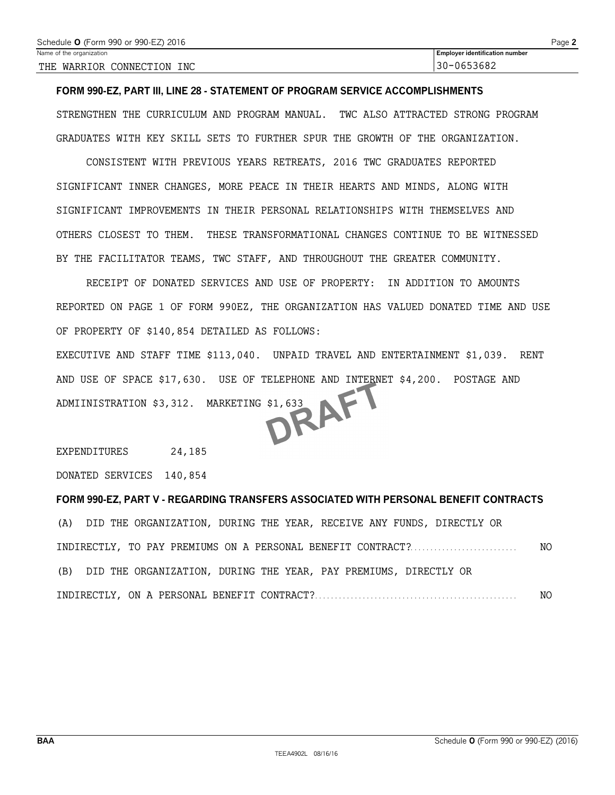#### **FORM 990-EZ, PART III, LINE 28 - STATEMENT OF PROGRAM SERVICE ACCOMPLISHMENTS**

STRENGTHEN THE CURRICULUM AND PROGRAM MANUAL. TWC ALSO ATTRACTED STRONG PROGRAM GRADUATES WITH KEY SKILL SETS TO FURTHER SPUR THE GROWTH OF THE ORGANIZATION.

CONSISTENT WITH PREVIOUS YEARS RETREATS, 2016 TWC GRADUATES REPORTED SIGNIFICANT INNER CHANGES, MORE PEACE IN THEIR HEARTS AND MINDS, ALONG WITH SIGNIFICANT IMPROVEMENTS IN THEIR PERSONAL RELATIONSHIPS WITH THEMSELVES AND OTHERS CLOSEST TO THEM. THESE TRANSFORMATIONAL CHANGES CONTINUE TO BE WITNESSED BY THE FACILITATOR TEAMS, TWC STAFF, AND THROUGHOUT THE GREATER COMMUNITY.

RECEIPT OF DONATED SERVICES AND USE OF PROPERTY: IN ADDITION TO AMOUNTS REPORTED ON PAGE 1 OF FORM 990EZ, THE ORGANIZATION HAS VALUED DONATED TIME AND USE OF PROPERTY OF \$140,854 DETAILED AS FOLLOWS:

EXECUTIVE AND STAFF TIME \$113,040. UNPAID TRAVEL AND ENTERTAINMENT \$1,039. RENT AND USE OF SPACE \$17,630. USE OF TELEPHONE AND INTERNET \$4,200. POSTAGE AND<br>ADMIINISTRATION \$3,312. MARKETING \$1,633 ADMIINISTRATION \$3,312. MARKETING \$1,633

EXPENDITURES 24,185

DONATED SERVICES 140,854

#### **FORM 990-EZ, PART V - REGARDING TRANSFERS ASSOCIATED WITH PERSONAL BENEFIT CONTRACTS**

(A) DID THE ORGANIZATION, DURING THE YEAR, RECEIVE ANY FUNDS, DIRECTLY OR INDIRECTLY, TO PAY PREMIUMS ON A PERSONAL BENEFIT CONTRACT?. . . . . . . . . . . . . . . . . . . . . . . . . . . NO (B) DID THE ORGANIZATION, DURING THE YEAR, PAY PREMIUMS, DIRECTLY OR INDIRECTLY, ON A PERSONAL BENEFIT CONTRACT?. . . . . . . . . . . . . . . . . . . . . . . . . . . . . . . . . . . . . . . . . . . . . . . . . . . NO